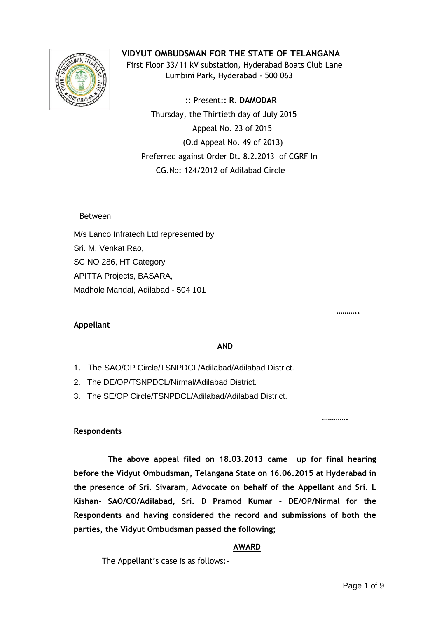

**VIDYUT OMBUDSMAN FOR THE STATE OF TELANGANA**

 First Floor 33/11 kV substation, Hyderabad Boats Club Lane Lumbini Park, Hyderabad - 500 063

 :: Present:: **R. DAMODAR** Thursday, the Thirtieth day of July 2015 Appeal No. 23 of 2015 (Old Appeal No. 49 of 2013) Preferred against Order Dt. 8.2.2013 of CGRF In CG.No: 124/2012 of Adilabad Circle

# Between

M/s Lanco Infratech Ltd represented by Sri. M. Venkat Rao, SC NO 286, HT Category APITTA Projects, BASARA, Madhole Mandal, Adilabad - 504 101

# **Appellant**

**………..** 

### **AND**

- 1. The SAO/OP Circle/TSNPDCL/Adilabad/Adilabad District.
- 2. The DE/OP/TSNPDCL/Nirmal/Adilabad District.
- 3. The SE/OP Circle/TSNPDCL/Adilabad/Adilabad District.

**………….** 

## **Respondents**

 **The above appeal filed on 18.03.2013 came up for final hearing before the Vidyut Ombudsman, Telangana State on 16.06.2015 at Hyderabad in the presence of Sri. Sivaram, Advocate on behalf of the Appellant and Sri. L Kishan- SAO/CO/Adilabad, Sri. D Pramod Kumar - DE/OP/Nirmal for the Respondents and having considered the record and submissions of both the parties, the Vidyut Ombudsman passed the following;**

## **AWARD**

The Appellant's case is as follows:-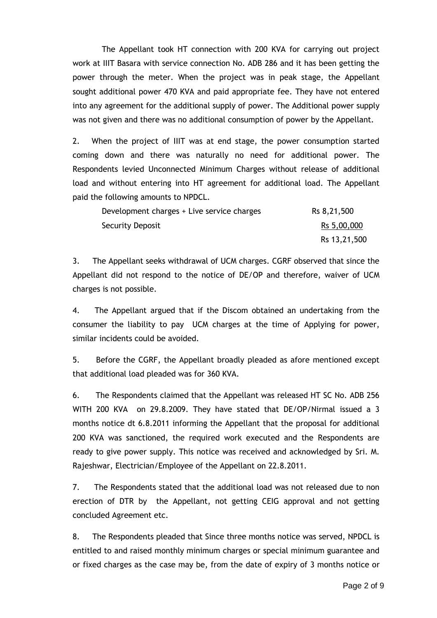The Appellant took HT connection with 200 KVA for carrying out project work at IIIT Basara with service connection No. ADB 286 and it has been getting the power through the meter. When the project was in peak stage, the Appellant sought additional power 470 KVA and paid appropriate fee. They have not entered into any agreement for the additional supply of power. The Additional power supply was not given and there was no additional consumption of power by the Appellant.

2. When the project of IIIT was at end stage, the power consumption started coming down and there was naturally no need for additional power. The Respondents levied Unconnected Minimum Charges without release of additional load and without entering into HT agreement for additional load. The Appellant paid the following amounts to NPDCL.

| Development charges + Live service charges | Rs 8,21,500  |
|--------------------------------------------|--------------|
| Security Deposit                           | Rs 5,00,000  |
|                                            | Rs 13,21,500 |

3. The Appellant seeks withdrawal of UCM charges. CGRF observed that since the Appellant did not respond to the notice of DE/OP and therefore, waiver of UCM charges is not possible.

4. The Appellant argued that if the Discom obtained an undertaking from the consumer the liability to pay UCM charges at the time of Applying for power, similar incidents could be avoided.

5. Before the CGRF, the Appellant broadly pleaded as afore mentioned except that additional load pleaded was for 360 KVA.

6. The Respondents claimed that the Appellant was released HT SC No. ADB 256 WITH 200 KVA on 29.8.2009. They have stated that DE/OP/Nirmal issued a 3 months notice dt 6.8.2011 informing the Appellant that the proposal for additional 200 KVA was sanctioned, the required work executed and the Respondents are ready to give power supply. This notice was received and acknowledged by Sri. M. Rajeshwar, Electrician/Employee of the Appellant on 22.8.2011.

7. The Respondents stated that the additional load was not released due to non erection of DTR by the Appellant, not getting CEIG approval and not getting concluded Agreement etc.

8. The Respondents pleaded that Since three months notice was served, NPDCL is entitled to and raised monthly minimum charges or special minimum guarantee and or fixed charges as the case may be, from the date of expiry of 3 months notice or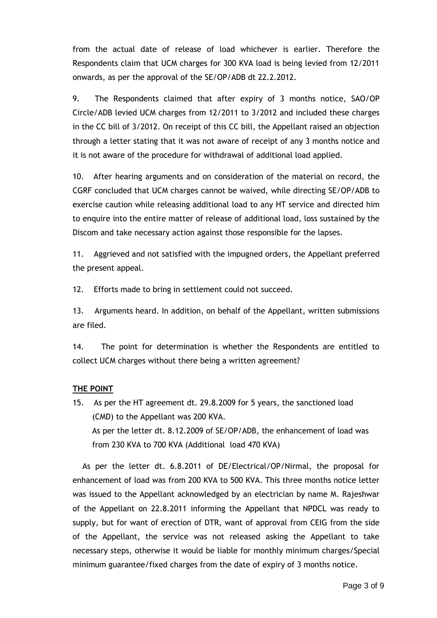from the actual date of release of load whichever is earlier. Therefore the Respondents claim that UCM charges for 300 KVA load is being levied from 12/2011 onwards, as per the approval of the SE/OP/ADB dt 22.2.2012.

9. The Respondents claimed that after expiry of 3 months notice, SAO/OP Circle/ADB levied UCM charges from 12/2011 to 3/2012 and included these charges in the CC bill of 3/2012. On receipt of this CC bill, the Appellant raised an objection through a letter stating that it was not aware of receipt of any 3 months notice and it is not aware of the procedure for withdrawal of additional load applied.

10. After hearing arguments and on consideration of the material on record, the CGRF concluded that UCM charges cannot be waived, while directing SE/OP/ADB to exercise caution while releasing additional load to any HT service and directed him to enquire into the entire matter of release of additional load, loss sustained by the Discom and take necessary action against those responsible for the lapses.

11. Aggrieved and not satisfied with the impugned orders, the Appellant preferred the present appeal.

12. Efforts made to bring in settlement could not succeed.

13. Arguments heard. In addition, on behalf of the Appellant, written submissions are filed.

14. The point for determination is whether the Respondents are entitled to collect UCM charges without there being a written agreement?

# **THE POINT**

15. As per the HT agreement dt. 29.8.2009 for 5 years, the sanctioned load (CMD) to the Appellant was 200 KVA. As per the letter dt. 8.12.2009 of SE/OP/ADB, the enhancement of load was from 230 KVA to 700 KVA (Additional load 470 KVA)

 As per the letter dt. 6.8.2011 of DE/Electrical/OP/Nirmal, the proposal for enhancement of load was from 200 KVA to 500 KVA. This three months notice letter was issued to the Appellant acknowledged by an electrician by name M. Rajeshwar of the Appellant on 22.8.2011 informing the Appellant that NPDCL was ready to supply, but for want of erection of DTR, want of approval from CEIG from the side of the Appellant, the service was not released asking the Appellant to take necessary steps, otherwise it would be liable for monthly minimum charges/Special minimum guarantee/fixed charges from the date of expiry of 3 months notice.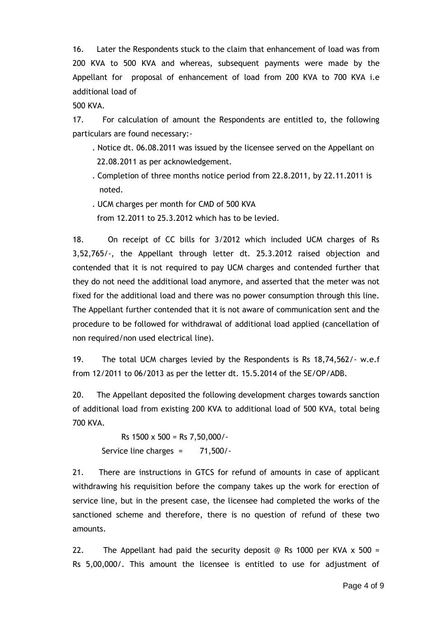16. Later the Respondents stuck to the claim that enhancement of load was from 200 KVA to 500 KVA and whereas, subsequent payments were made by the Appellant for proposal of enhancement of load from 200 KVA to 700 KVA i.e additional load of

500 KVA.

17. For calculation of amount the Respondents are entitled to, the following particulars are found necessary:-

- . Notice dt. 06.08.2011 was issued by the licensee served on the Appellant on 22.08.2011 as per acknowledgement.
- . Completion of three months notice period from 22.8.2011, by 22.11.2011 is noted.
- . UCM charges per month for CMD of 500 KVA

from 12.2011 to 25.3.2012 which has to be levied.

18. On receipt of CC bills for 3/2012 which included UCM charges of Rs 3,52,765/-, the Appellant through letter dt. 25.3.2012 raised objection and contended that it is not required to pay UCM charges and contended further that they do not need the additional load anymore, and asserted that the meter was not fixed for the additional load and there was no power consumption through this line. The Appellant further contended that it is not aware of communication sent and the procedure to be followed for withdrawal of additional load applied (cancellation of non required/non used electrical line).

19. The total UCM charges levied by the Respondents is Rs 18,74,562/- w.e.f from 12/2011 to 06/2013 as per the letter dt. 15.5.2014 of the SE/OP/ADB.

20. The Appellant deposited the following development charges towards sanction of additional load from existing 200 KVA to additional load of 500 KVA, total being 700 KVA.

 Rs 1500 x 500 = Rs 7,50,000/- Service line charges = 71,500/-

21. There are instructions in GTCS for refund of amounts in case of applicant withdrawing his requisition before the company takes up the work for erection of service line, but in the present case, the licensee had completed the works of the sanctioned scheme and therefore, there is no question of refund of these two amounts.

22. The Appellant had paid the security deposit @ Rs 1000 per KVA  $\times$  500 = Rs 5,00,000/. This amount the licensee is entitled to use for adjustment of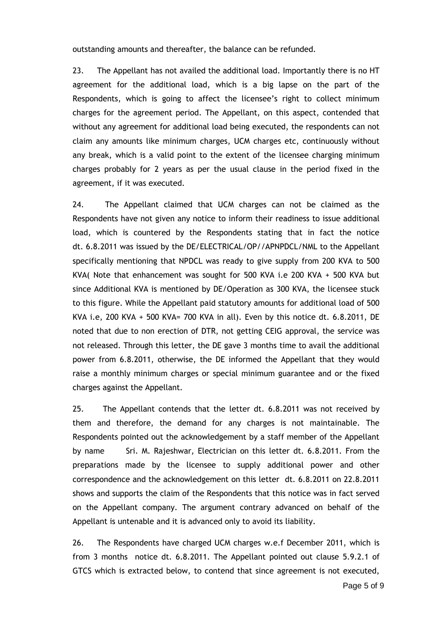outstanding amounts and thereafter, the balance can be refunded.

23. The Appellant has not availed the additional load. Importantly there is no HT agreement for the additional load, which is a big lapse on the part of the Respondents, which is going to affect the licensee's right to collect minimum charges for the agreement period. The Appellant, on this aspect, contended that without any agreement for additional load being executed, the respondents can not claim any amounts like minimum charges, UCM charges etc, continuously without any break, which is a valid point to the extent of the licensee charging minimum charges probably for 2 years as per the usual clause in the period fixed in the agreement, if it was executed.

24. The Appellant claimed that UCM charges can not be claimed as the Respondents have not given any notice to inform their readiness to issue additional load, which is countered by the Respondents stating that in fact the notice dt. 6.8.2011 was issued by the DE/ELECTRICAL/OP//APNPDCL/NML to the Appellant specifically mentioning that NPDCL was ready to give supply from 200 KVA to 500 KVA( Note that enhancement was sought for 500 KVA i.e 200 KVA + 500 KVA but since Additional KVA is mentioned by DE/Operation as 300 KVA, the licensee stuck to this figure. While the Appellant paid statutory amounts for additional load of 500 KVA i.e, 200 KVA + 500 KVA= 700 KVA in all). Even by this notice dt. 6.8.2011, DE noted that due to non erection of DTR, not getting CEIG approval, the service was not released. Through this letter, the DE gave 3 months time to avail the additional power from 6.8.2011, otherwise, the DE informed the Appellant that they would raise a monthly minimum charges or special minimum guarantee and or the fixed charges against the Appellant.

25. The Appellant contends that the letter dt. 6.8.2011 was not received by them and therefore, the demand for any charges is not maintainable. The Respondents pointed out the acknowledgement by a staff member of the Appellant by name Sri. M. Rajeshwar, Electrician on this letter dt. 6.8.2011. From the preparations made by the licensee to supply additional power and other correspondence and the acknowledgement on this letter dt. 6.8.2011 on 22.8.2011 shows and supports the claim of the Respondents that this notice was in fact served on the Appellant company. The argument contrary advanced on behalf of the Appellant is untenable and it is advanced only to avoid its liability.

26. The Respondents have charged UCM charges w.e.f December 2011, which is from 3 months notice dt. 6.8.2011. The Appellant pointed out clause 5.9.2.1 of GTCS which is extracted below, to contend that since agreement is not executed,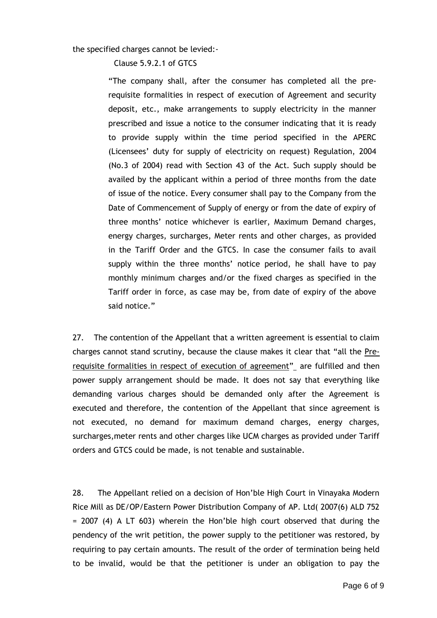the specified charges cannot be levied:-

Clause 5.9.2.1 of GTCS

"The company shall, after the consumer has completed all the prerequisite formalities in respect of execution of Agreement and security deposit, etc., make arrangements to supply electricity in the manner prescribed and issue a notice to the consumer indicating that it is ready to provide supply within the time period specified in the APERC (Licensees' duty for supply of electricity on request) Regulation, 2004 (No.3 of 2004) read with Section 43 of the Act. Such supply should be availed by the applicant within a period of three months from the date of issue of the notice. Every consumer shall pay to the Company from the Date of Commencement of Supply of energy or from the date of expiry of three months' notice whichever is earlier, Maximum Demand charges, energy charges, surcharges, Meter rents and other charges, as provided in the Tariff Order and the GTCS. In case the consumer fails to avail supply within the three months' notice period, he shall have to pay monthly minimum charges and/or the fixed charges as specified in the Tariff order in force, as case may be, from date of expiry of the above said notice."

27. The contention of the Appellant that a written agreement is essential to claim charges cannot stand scrutiny, because the clause makes it clear that "all the Prerequisite formalities in respect of execution of agreement" are fulfilled and then power supply arrangement should be made. It does not say that everything like demanding various charges should be demanded only after the Agreement is executed and therefore, the contention of the Appellant that since agreement is not executed, no demand for maximum demand charges, energy charges, surcharges,meter rents and other charges like UCM charges as provided under Tariff orders and GTCS could be made, is not tenable and sustainable.

28. The Appellant relied on a decision of Hon'ble High Court in Vinayaka Modern Rice Mill as DE/OP/Eastern Power Distribution Company of AP. Ltd( 2007(6) ALD 752 = 2007 (4) A LT 603) wherein the Hon'ble high court observed that during the pendency of the writ petition, the power supply to the petitioner was restored, by requiring to pay certain amounts. The result of the order of termination being held to be invalid, would be that the petitioner is under an obligation to pay the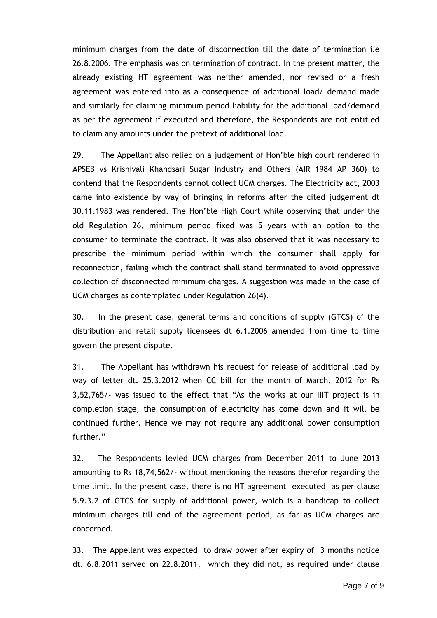minimum charges from the date of disconnection till the date of termination i.e 26.8.2006. The emphasis was on termination of contract. In the present matter, the already existing HT agreement was neither amended, nor revised or a fresh agreement was entered into as a consequence of additional load/ demand made and similarly for claiming minimum period liability for the additional load/demand as per the agreement if executed and therefore, the Respondents are not entitled to claim any amounts under the pretext of additional load.

29. The Appellant also relied on a judgement of Hon'ble high court rendered in APSEB vs Krishivali Khandsari Sugar Industry and Others (AIR 1984 AP 360) to contend that the Respondents cannot collect UCM charges. The Electricity act, 2003 came into existence by way of bringing in reforms after the cited judgement dt 30.11.1983 was rendered. The Hon'ble High Court while observing that under the old Regulation 26, minimum period fixed was 5 years with an option to the consumer to terminate the contract. It was also observed that it was necessary to prescribe the minimum period within which the consumer shall apply for reconnection, failing which the contract shall stand terminated to avoid oppressive collection of disconnected minimum charges. A suggestion was made in the case of UCM charges as contemplated under Regulation 26(4).

30. In the present case, general terms and conditions of supply (GTCS) of the distribution and retail supply licensees dt 6.1.2006 amended from time to time govern the present dispute.

31. The Appellant has withdrawn his request for release of additional load by way of letter dt. 25.3.2012 when CC bill for the month of March, 2012 for Rs 3,52,765/- was issued to the effect that "As the works at our IIIT project is in completion stage, the consumption of electricity has come down and it will be continued further. Hence we may not require any additional power consumption further."

32. The Respondents levied UCM charges from December 2011 to June 2013 amounting to Rs 18,74,562/- without mentioning the reasons therefor regarding the time limit. In the present case, there is no HT agreement executed as per clause 5.9.3.2 of GTCS for supply of additional power, which is a handicap to collect minimum charges till end of the agreement period, as far as UCM charges are concerned.

33. The Appellant was expected to draw power after expiry of 3 months notice dt. 6.8.2011 served on 22.8.2011, which they did not, as required under clause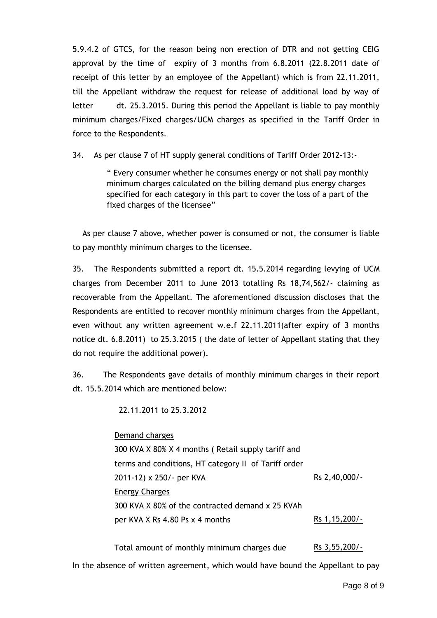5.9.4.2 of GTCS, for the reason being non erection of DTR and not getting CEIG approval by the time of expiry of 3 months from 6.8.2011 (22.8.2011 date of receipt of this letter by an employee of the Appellant) which is from 22.11.2011, till the Appellant withdraw the request for release of additional load by way of letter dt. 25.3.2015. During this period the Appellant is liable to pay monthly minimum charges/Fixed charges/UCM charges as specified in the Tariff Order in force to the Respondents.

34. As per clause 7 of HT supply general conditions of Tariff Order 2012-13:-

" Every consumer whether he consumes energy or not shall pay monthly minimum charges calculated on the billing demand plus energy charges specified for each category in this part to cover the loss of a part of the fixed charges of the licensee"

 As per clause 7 above, whether power is consumed or not, the consumer is liable to pay monthly minimum charges to the licensee.

35. The Respondents submitted a report dt. 15.5.2014 regarding levying of UCM charges from December 2011 to June 2013 totalling Rs 18,74,562/- claiming as recoverable from the Appellant. The aforementioned discussion discloses that the Respondents are entitled to recover monthly minimum charges from the Appellant, even without any written agreement w.e.f 22.11.2011(after expiry of 3 months notice dt. 6.8.2011) to 25.3.2015 ( the date of letter of Appellant stating that they do not require the additional power).

36. The Respondents gave details of monthly minimum charges in their report dt. 15.5.2014 which are mentioned below:

22.11.2011 to 25.3.2012

Demand charges

300 KVA X 80% X 4 months ( Retail supply tariff and terms and conditions, HT category II of Tariff order 2011-12) x 250/- per KVA Energy Charges 300 KVA X 80% of the contracted demand x 25 KVAh per KVA X Rs 4.80 Ps x 4 months Rs 2,40,000/- Rs 1,15,200/-

Total amount of monthly minimum charges due Rs 3,55,200/- In the absence of written agreement, which would have bound the Appellant to pay